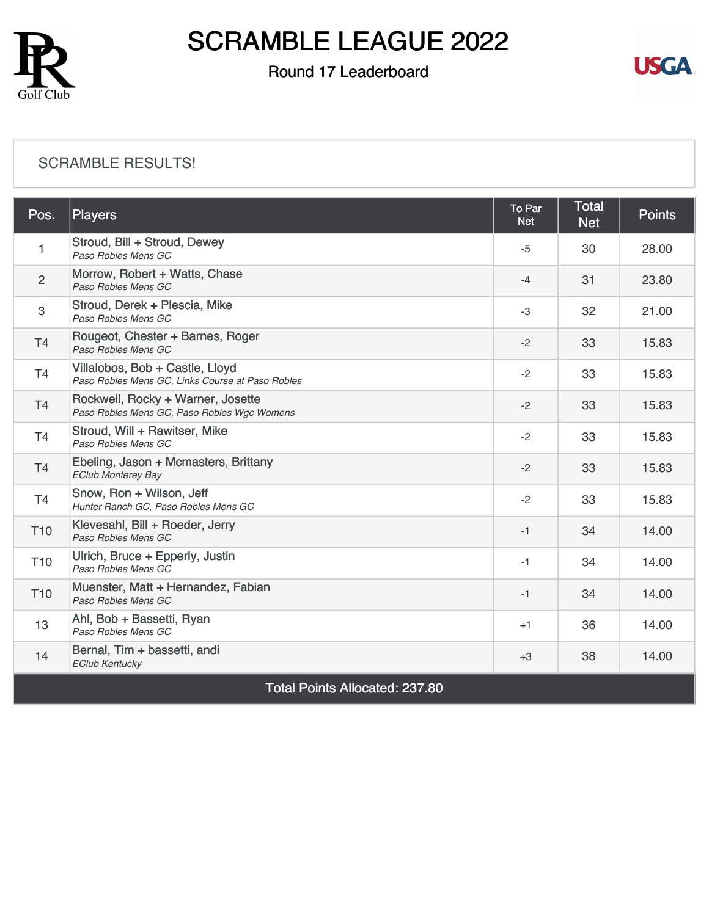

### Round 17 Leaderboard



#### [SCRAMBLE RESULTS!](https://static.golfgenius.com/v2tournaments/8590640585503719077?called_from=&round_index=17)

| Pos.                                  | Players                                                                             | To Par<br><b>Net</b> | <b>Total</b><br><b>Net</b> | <b>Points</b> |  |
|---------------------------------------|-------------------------------------------------------------------------------------|----------------------|----------------------------|---------------|--|
| 1                                     | Stroud, Bill + Stroud, Dewey<br>Paso Robles Mens GC                                 | $-5$                 | 30                         | 28.00         |  |
| 2                                     | Morrow, Robert + Watts, Chase<br>Paso Robles Mens GC                                | $-4$                 | 31                         | 23.80         |  |
| 3                                     | Stroud, Derek + Plescia, Mike<br>Paso Robles Mens GC                                | -3                   | 32                         | 21.00         |  |
| <b>T4</b>                             | Rougeot, Chester + Barnes, Roger<br>Paso Robles Mens GC                             | $-2$                 | 33                         | 15.83         |  |
| T <sub>4</sub>                        | Villalobos, Bob + Castle, Lloyd<br>Paso Robles Mens GC, Links Course at Paso Robles | $-2$                 | 33                         | 15.83         |  |
| T <sub>4</sub>                        | Rockwell, Rocky + Warner, Josette<br>Paso Robles Mens GC, Paso Robles Wgc Womens    | $-2$                 | 33                         | 15.83         |  |
| T4                                    | Stroud, Will + Rawitser, Mike<br>Paso Robles Mens GC                                | $-2$                 | 33                         | 15.83         |  |
| T <sub>4</sub>                        | Ebeling, Jason + Mcmasters, Brittany<br><b>EClub Monterey Bay</b>                   | $-2$                 | 33                         | 15.83         |  |
| T <sub>4</sub>                        | Snow, Ron + Wilson, Jeff<br>Hunter Ranch GC, Paso Robles Mens GC                    | $-2$                 | 33                         | 15.83         |  |
| T <sub>10</sub>                       | Klevesahl, Bill + Roeder, Jerry<br>Paso Robles Mens GC                              | $-1$                 | 34                         | 14.00         |  |
| T <sub>10</sub>                       | Ulrich, Bruce + Epperly, Justin<br>Paso Robles Mens GC                              | -1                   | 34                         | 14.00         |  |
| T <sub>10</sub>                       | Muenster, Matt + Hernandez, Fabian<br>Paso Robles Mens GC                           | $-1$                 | 34                         | 14.00         |  |
| 13                                    | Ahl, Bob + Bassetti, Ryan<br>Paso Robles Mens GC                                    | $+1$                 | 36                         | 14.00         |  |
| 14                                    | Bernal, Tim + bassetti, andi<br><b>EClub Kentucky</b>                               | $+3$                 | 38                         | 14.00         |  |
| <b>Total Points Allocated: 237.80</b> |                                                                                     |                      |                            |               |  |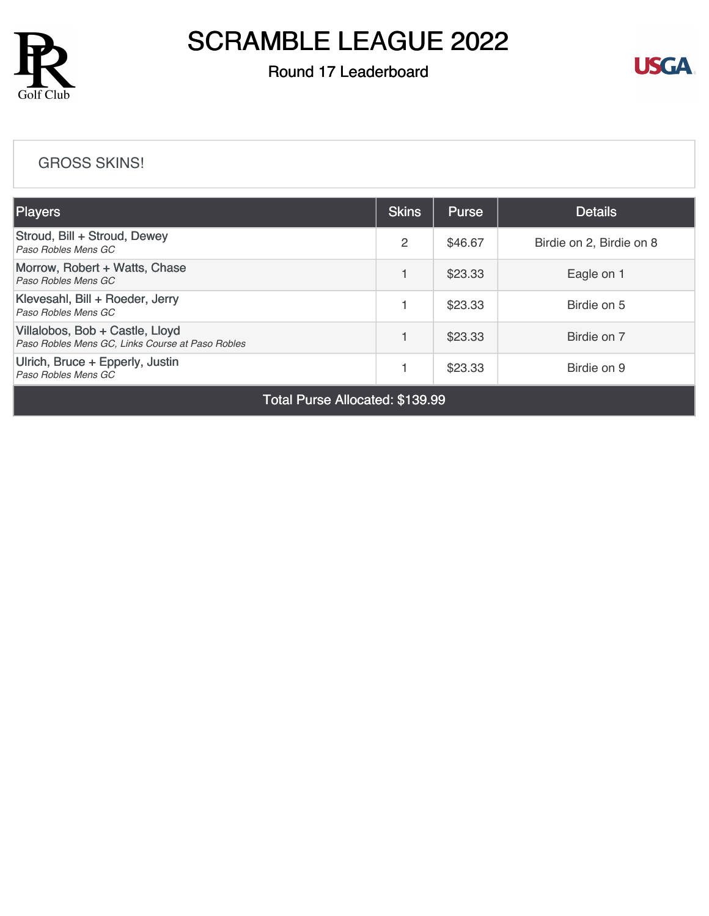

### Round 17 Leaderboard



#### [GROSS SKINS!](https://static.golfgenius.com/v2tournaments/8590646634428284582?called_from=&round_index=17)

| <b>Players</b>                                                                      | <b>Skins</b> | <b>Purse</b> | <b>Details</b>           |
|-------------------------------------------------------------------------------------|--------------|--------------|--------------------------|
| Stroud, Bill + Stroud, Dewey<br>Paso Robles Mens GC                                 | 2            | \$46.67      | Birdie on 2, Birdie on 8 |
| Morrow, Robert + Watts, Chase<br>Paso Robles Mens GC                                |              | \$23.33      | Eagle on 1               |
| Klevesahl, Bill + Roeder, Jerry<br>Paso Robles Mens GC                              |              | \$23.33      | Birdie on 5              |
| Villalobos, Bob + Castle, Lloyd<br>Paso Robles Mens GC, Links Course at Paso Robles |              | \$23.33      | Birdie on 7              |
| Ulrich, Bruce + Epperly, Justin<br>Paso Robles Mens GC                              |              | \$23.33      | Birdie on 9              |

Total Purse Allocated: \$139.99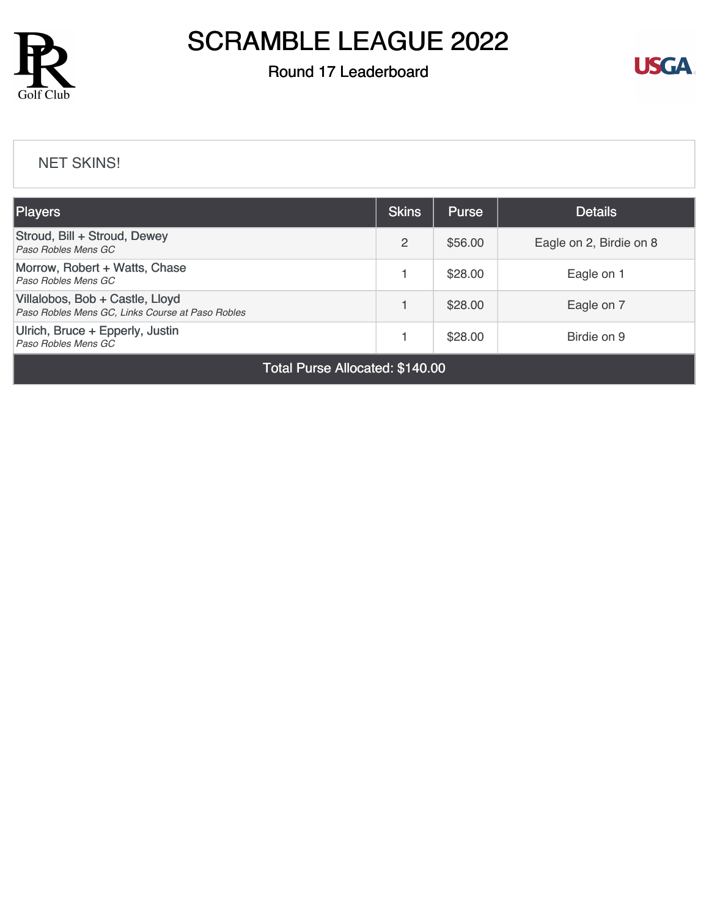

### Round 17 Leaderboard



#### [NET SKINS!](https://static.golfgenius.com/v2tournaments/8590647402992549543?called_from=&round_index=17)

| <b>Skins</b> | <b>Purse</b> | <b>Details</b>          |
|--------------|--------------|-------------------------|
| 2            | \$56.00      | Eagle on 2, Birdie on 8 |
|              | \$28.00      | Eagle on 1              |
|              | \$28.00      | Eagle on 7              |
|              | \$28.00      | Birdie on 9             |
|              |              |                         |

Total Purse Allocated: \$140.00